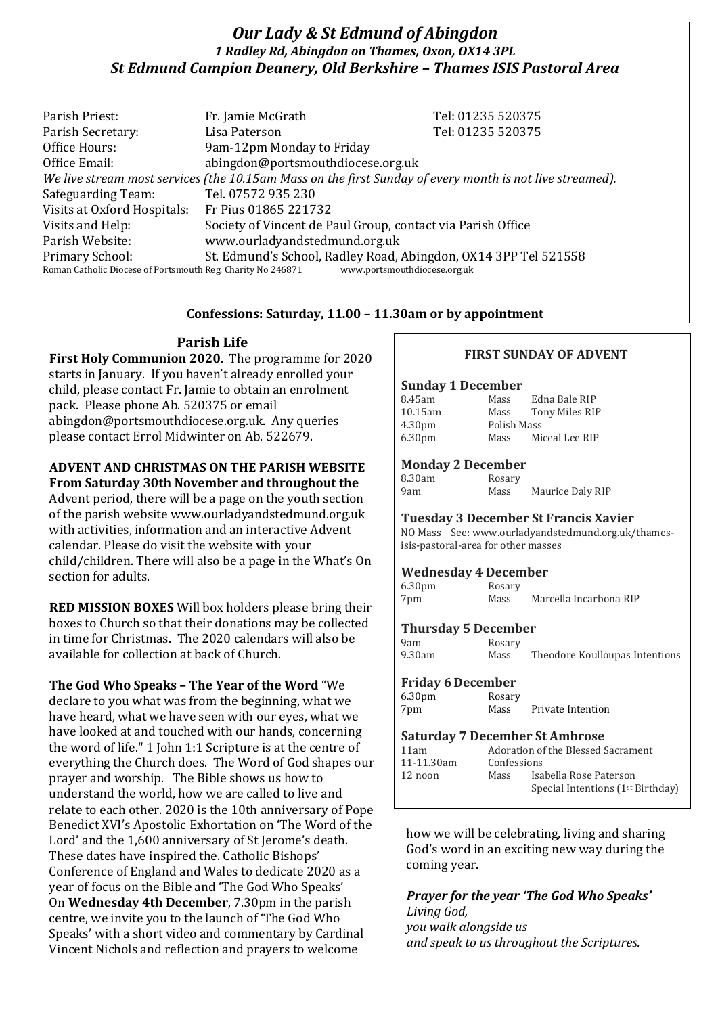# *Our Lady & St Edmund of Abingdon 1 Radley Rd, Abingdon on Thames, Oxon, OX14 3PL St Edmund Campion Deanery, Old Berkshire – Thames ISIS Pastoral Area*

Parish Priest: Fr. Jamie McGrath Tel: 01235 520375 Parish Secretary: Tel: 01235 520375 Office Hours: 9am-12pm Monday to Friday Office Email: abingdon@portsmouthdiocese.org.uk *We live stream most services (the 10.15am Mass on the first Sunday of every month is not live streamed).* Safeguarding Team: Tel. 07572 935 230 Visits at Oxford Hospitals: Fr Pius 01865 221732 Visits and Help: Society of Vincent de Paul Group, contact via Parish Office Parish Website: www.ourladyandstedmund.org.uk Primary School: St. Edmund's School, Radley Road, Abingdon, OX14 3PP Tel 521558 Roman Catholic Diocese of Portsmouth Reg. Charity No 246871 www.portsmouthdiocese.org.uk

## **Confessions: Saturday, 11.00 – 11.30am or by appointment**

# **Parish Life**

**First Holy Communion 2020**. The programme for 2020 starts in January. If you haven't already enrolled your child, please contact Fr. Jamie to obtain an enrolment pack. Please phone Ab. 520375 or email abingdon@portsmouthdiocese.org.uk. Any queries please contact Errol Midwinter on Ab. 522679.

# **ADVENT AND CHRISTMAS ON THE PARISH WEBSITE**

**From Saturday 30th November and throughout the**  Advent period, there will be a page on the youth section of the parish website www.ourladyandstedmund.org.uk with activities, information and an interactive Advent calendar. Please do visit the website with your child/children. There will also be a page in the What's On section for adults.

**RED MISSION BOXES** Will box holders please bring their boxes to Church so that their donations may be collected in time for Christmas. The 2020 calendars will also be available for collection at back of Church.

### **The God Who Speaks – The Year of the Word** "We

declare to you what was from the beginning, what we have heard, what we have seen with our eyes, what we have looked at and touched with our hands, concerning the word of life." 1 John 1:1 Scripture is at the centre of everything the Church does. The Word of God shapes our prayer and worship. The Bible shows us how to understand the world, how we are called to live and relate to each other. 2020 is the 10th anniversary of Pope Benedict XVI's Apostolic Exhortation on 'The Word of the Lord' and the 1,600 anniversary of St Jerome's death. These dates have inspired the. Catholic Bishops' Conference of England and Wales to dedicate 2020 as a year of focus on the Bible and 'The God Who Speaks' On **Wednesday 4th December**, 7.30pm in the parish centre, we invite you to the launch of 'The God Who Speaks' with a short video and commentary by Cardinal Vincent Nichols and reflection and prayers to welcome

### **FIRST SUNDAY OF ADVENT**

#### **Sunday 1 December**

| 8.45am             | Mass        | Edna Bale RIP  |
|--------------------|-------------|----------------|
| 10.15am            | Mass        | Tony Miles RIP |
| 4.30 <sub>pm</sub> | Polish Mass |                |
| 6.30 <sub>pm</sub> | Mass        | Miceal Lee RIP |
|                    |             |                |

### **Monday 2 December**

| 8.30am | Rosary |                  |
|--------|--------|------------------|
| 9am    | Mass   | Maurice Daly RIP |

#### **Tuesday 3 December St Francis Xavier**

NO Mass See: www.ourladyandstedmund.org.uk/thamesisis-pastoral-area for other masses

#### **Wednesday 4 December**

| 6.30 <sub>pm</sub> | Rosary |                        |
|--------------------|--------|------------------------|
| 7pm                | Mass   | Marcella Incarbona RIP |

### **Thursday 5 December**

| 9am    | Rosary |                                |
|--------|--------|--------------------------------|
| 9.30am | Mass   | Theodore Koulloupas Intentions |

### **Friday 6December**

| 6.30 <sub>pm</sub> | Rosary |                   |
|--------------------|--------|-------------------|
| 7pm                | Mass   | Private Intention |

#### **Saturday 7 December St Ambrose**

| 11am       | Adoration of the Blessed Sacrament |                                               |
|------------|------------------------------------|-----------------------------------------------|
| 11-11.30am | Confessions                        |                                               |
| 12 noon    | Mass                               | Isabella Rose Paterson                        |
|            |                                    | Special Intentions (1 <sup>st</sup> Birthday) |
|            |                                    |                                               |

how we will be celebrating, living and sharing God's word in an exciting new way during the coming year.

# *Prayer for the year 'The God Who Speaks' Living God, you walk alongside us*

*and speak to us throughout the Scriptures.*